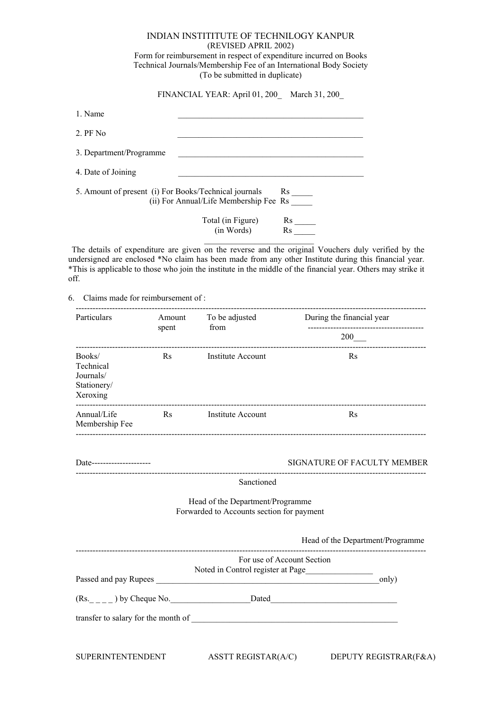## INDIAN INSTITITUTE OF TECHNILOGY KANPUR (REVISED APRIL 2002)

Form for reimbursement in respect of expenditure incurred on Books Technical Journals/Membership Fee of an International Body Society (To be submitted in duplicate)

FINANCIAL YEAR: April 01, 200\_ March 31, 200\_

| 1. Name                                               |                                        |                             |
|-------------------------------------------------------|----------------------------------------|-----------------------------|
| $2.$ PF No.                                           |                                        |                             |
| 3. Department/Programme                               |                                        |                             |
| 4. Date of Joining                                    |                                        |                             |
| 5. Amount of present (i) For Books/Technical journals | (ii) For Annual/Life Membership Fee Rs | $\mathbf{Rs}$ <sub>--</sub> |
|                                                       | Total (in Figure)<br>(in Words)        | $\operatorname{Rs}$         |

The details of expenditure are given on the reverse and the original Vouchers duly verified by the undersigned are enclosed \*No claim has been made from any other Institute during this financial year. \*This is applicable to those who join the institute in the middle of the financial year. Others may strike it off.

6. Claims made for reimbursement of :

| Particulars                                                 |                           | spent                  |                                                                                                                                                                                                                               | Amount To be adjusted During the financial year<br>-------------------------------------- |
|-------------------------------------------------------------|---------------------------|------------------------|-------------------------------------------------------------------------------------------------------------------------------------------------------------------------------------------------------------------------------|-------------------------------------------------------------------------------------------|
|                                                             |                           |                        | from                                                                                                                                                                                                                          | $200$ <sub>——</sub>                                                                       |
| Books/<br>Technical<br>Journals/<br>Stationery/<br>Xeroxing |                           | $\operatorname{Rs}$    | <b>Institute Account</b>                                                                                                                                                                                                      | ------------------------<br>Rs                                                            |
| Annual/Life<br>Membership Fee                               |                           | $\mathbf{R}\mathbf{s}$ | Institute Account                                                                                                                                                                                                             | Rs                                                                                        |
|                                                             | Date--------------------- |                        |                                                                                                                                                                                                                               | SIGNATURE OF FACULTY MEMBER                                                               |
|                                                             |                           |                        | Sanctioned                                                                                                                                                                                                                    |                                                                                           |
|                                                             |                           |                        | Head of the Department/Programme<br>Forwarded to Accounts section for payment                                                                                                                                                 |                                                                                           |
|                                                             |                           |                        |                                                                                                                                                                                                                               | Head of the Department/Programme                                                          |
|                                                             |                           |                        | For use of Account Section<br>Noted in Control register at Page                                                                                                                                                               | only)                                                                                     |
|                                                             |                           |                        | $(Rs_{---})$ by Cheque No. Dated                                                                                                                                                                                              |                                                                                           |
|                                                             |                           |                        | transfer to salary for the month of the state of the state of the state of the state of the state of the state of the state of the state of the state of the state of the state of the state of the state of the state of the |                                                                                           |